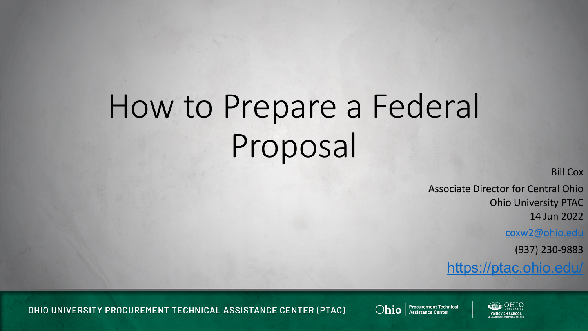## How to Prepare a Federal Proposal

Bill Cox

Associate Director for Central Ohio Ohio University PTAC 14 Jun 2022

[coxw2@ohio.edu](mailto:coxw2@ohio.edu)

(937) 230-9883

<https://ptac.ohio.edu/>

OHIO UNIVERSITY PROCUREMENT TECHNICAL ASSISTANCE CENTER (PTAC)



Ohio | Procurement Technical

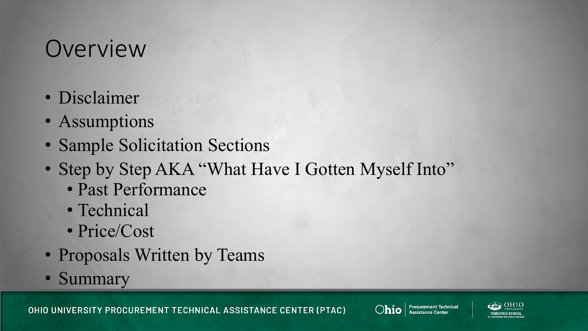#### Overview

- Disclaimer
- Assumptions
- Sample Solicitation Sections
- Step by Step AKA "What Have I Gotten Myself Into"
	- Past Performance
	- Technical
	- Price/Cost
- Proposals Written by Teams
- Summary

OHIO UNIVERSITY PROCUREMENT TECHNICAL ASSISTANCE CENTER (PTAC)



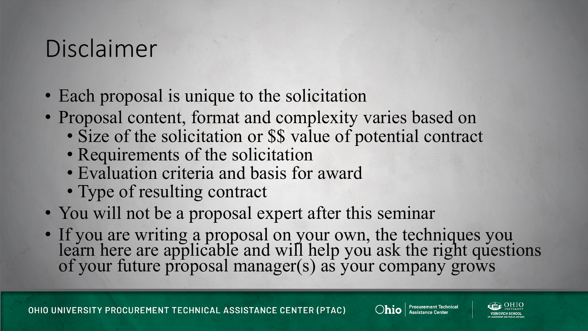### Disclaimer

- Each proposal is unique to the solicitation
- Proposal content, format and complexity varies based on
	- Size of the solicitation or \$\$ value of potential contract
	- Requirements of the solicitation
	- Evaluation criteria and basis for award
	- Type of resulting contract
- You will not be a proposal expert after this seminar
- If you are writing a proposal on your own, the techniques you learn here are applicable and will help you ask the right questions of your future proposal manager(s) as your company grows

OHIO UNIVERSITY PROCUREMENT TECHNICAL ASSISTANCE CENTER (PTAC)



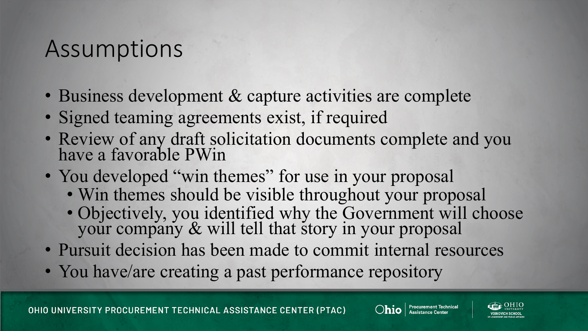#### Assumptions

- Business development & capture activities are complete
- Signed teaming agreements exist, if required
- Review of any draft solicitation documents complete and you have a favorable PWin
- You developed "win themes" for use in your proposal
	- Win themes should be visible throughout your proposal
	- Objectively, you identified why the Government will choose your company & will tell that story in your proposal
- Pursuit decision has been made to commit internal resources
- You have/are creating a past performance repository

OHIO UNIVERSITY PROCUREMENT TECHNICAL ASSISTANCE CENTER (PTAC)



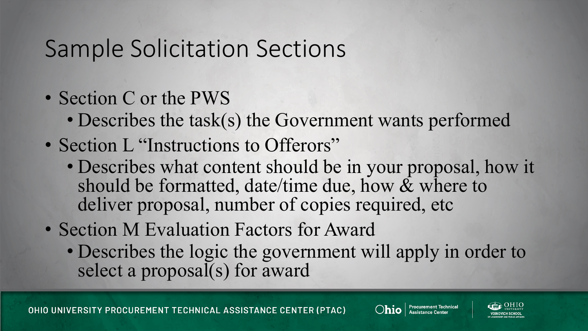### Sample Solicitation Sections

- Section C or the PWS
	- Describes the task(s) the Government wants performed
- Section L "Instructions to Offerors"
	- Describes what content should be in your proposal, how it should be formatted, date/time due, how  $\&$  where to deliver proposal, number of copies required, etc
- Section M Evaluation Factors for Award
	- Describes the logic the government will apply in order to select a proposal(s) for award

OHIO UNIVERSITY PROCUREMENT TECHNICAL ASSISTANCE CENTER (PTAC)



**Procurement Technical** 

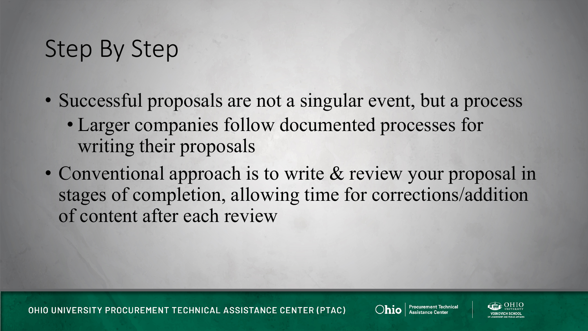- Successful proposals are not a singular event, but a process • Larger companies follow documented processes for writing their proposals
- Conventional approach is to write & review your proposal in stages of completion, allowing time for corrections/addition of content after each review

OHIO UNIVERSITY PROCUREMENT TECHNICAL ASSISTANCE CENTER (PTAC)



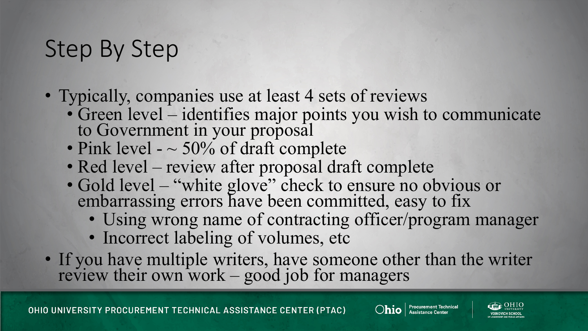- Typically, companies use at least 4 sets of reviews
	- Green level identifies major points you wish to communicate to Government in your proposal
	- Pink level  $-$  50% of draft complete
	- Red level review after proposal draft complete
	- Gold level "white glove" check to ensure no obvious or embarrassing errors have been committed, easy to fix
		- Using wrong name of contracting officer/program manager
		- Incorrect labeling of volumes, etc
- If you have multiple writers, have someone other than the writer review their own work – good job for managers



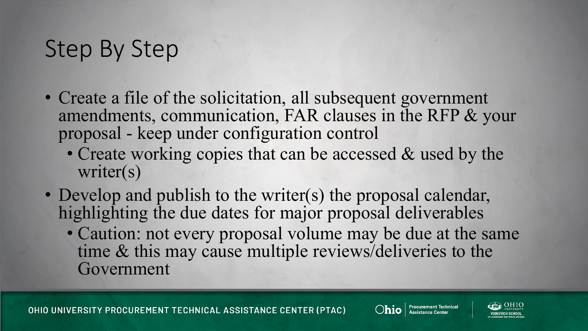- Create a file of the solicitation, all subsequent government amendments, communication, FAR clauses in the RFP & your proposal - keep under configuration control
	- Create working copies that can be accessed & used by the writer(s)
- Develop and publish to the writer(s) the proposal calendar, highlighting the due dates for major proposal deliverables • Caution: not every proposal volume may be due at the same time & this may cause multiple reviews/deliveries to the Government

OHIO UNIVERSITY PROCUREMENT TECHNICAL ASSISTANCE CENTER (PTAC)



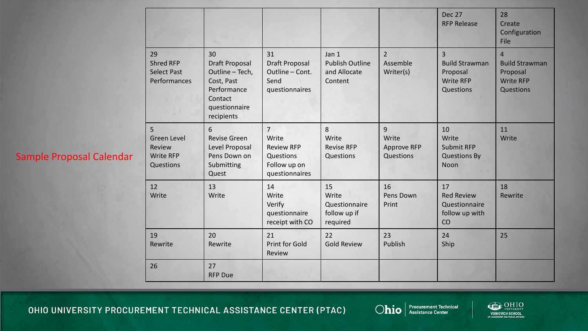#### Sample Proposal Calendar

|                                                                    |                                                                                                                       |                                                                                             |                                                            |                                               | <b>Dec 27</b><br><b>RFP Release</b>                                                  | 28<br>Create<br>Configuration<br>File                                                |
|--------------------------------------------------------------------|-----------------------------------------------------------------------------------------------------------------------|---------------------------------------------------------------------------------------------|------------------------------------------------------------|-----------------------------------------------|--------------------------------------------------------------------------------------|--------------------------------------------------------------------------------------|
| 29<br><b>Shred RFP</b><br><b>Select Past</b><br>Performances       | 30<br><b>Draft Proposal</b><br>Outline - Tech,<br>Cost, Past<br>Performance<br>Contact<br>questionnaire<br>recipients | 31<br><b>Draft Proposal</b><br>Outline - Cont.<br>Send<br>questionnaires                    | Jan 1<br><b>Publish Outline</b><br>and Allocate<br>Content | $\overline{2}$<br>Assemble<br>Writer(s)       | $\overline{3}$<br><b>Build Strawman</b><br>Proposal<br><b>Write RFP</b><br>Questions | $\overline{4}$<br><b>Build Strawman</b><br>Proposal<br><b>Write RFP</b><br>Questions |
| 5<br><b>Green Level</b><br>Review<br><b>Write RFP</b><br>Questions | 6<br><b>Revise Green</b><br>Level Proposal<br>Pens Down on<br>Submitting<br>Quest                                     | $\overline{7}$<br>Write<br><b>Review RFP</b><br>Questions<br>Follow up on<br>questionnaires | 8<br>Write<br><b>Revise RFP</b><br>Questions               | 9<br>Write<br><b>Approve RFP</b><br>Questions | 10<br>Write<br><b>Submit RFP</b><br><b>Questions By</b><br><b>Noon</b>               | 11<br>Write                                                                          |
| 12<br>Write                                                        | 13<br>Write                                                                                                           | 14<br>Write<br>Verify<br>questionnaire<br>receipt with CO                                   | 15<br>Write<br>Questionnaire<br>follow up if<br>required   | 16<br>Pens Down<br>Print                      | 17<br><b>Red Review</b><br>Questionnaire<br>follow up with<br>CO                     | 18<br>Rewrite                                                                        |
| 19<br>Rewrite                                                      | 20<br>Rewrite                                                                                                         | 21<br>Print for Gold<br>Review                                                              | 22<br><b>Gold Review</b>                                   | 23<br>Publish                                 | 24<br>Ship                                                                           | 25                                                                                   |
| 26                                                                 | 27<br><b>RFP Due</b>                                                                                                  |                                                                                             |                                                            |                                               |                                                                                      |                                                                                      |

OHIO UNIVERSITY PROCUREMENT TECHNICAL ASSISTANCE CENTER (PTAC)



Ohio | Procurement Technical

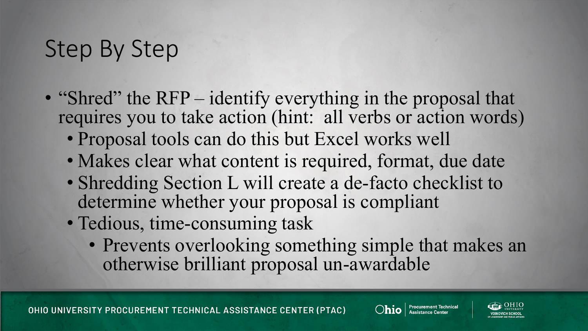- "Shred" the RFP identify everything in the proposal that requires you to take action (hint: all verbs or action words)
	- Proposal tools can do this but Excel works well
	- Makes clear what content is required, format, due date
	- Shredding Section L will create a de-facto checklist to determine whether your proposal is compliant
	- Tedious, time-consuming task
		- Prevents overlooking something simple that makes an otherwise brilliant proposal un-awardable

OHIO UNIVERSITY PROCUREMENT TECHNICAL ASSISTANCE CENTER (PTAC)



 $\bigcirc$ hio  $\big|$  Procurement Technical

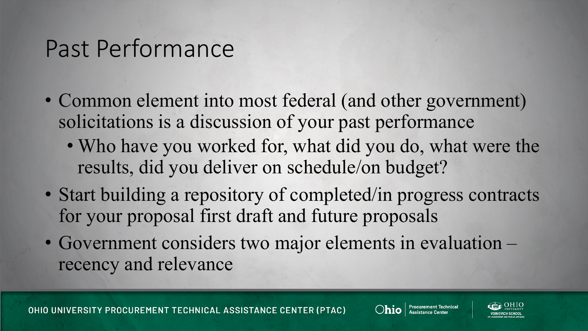- Common element into most federal (and other government) solicitations is a discussion of your past performance
	- Who have you worked for, what did you do, what were the results, did you deliver on schedule/on budget?
- Start building a repository of completed/in progress contracts for your proposal first draft and future proposals
- Government considers two major elements in evaluation recency and relevance

OHIO UNIVERSITY PROCUREMENT TECHNICAL ASSISTANCE CENTER (PTAC)



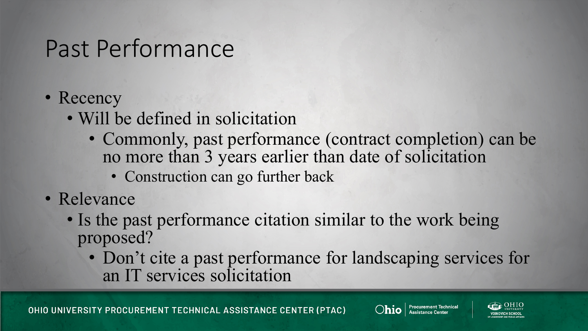- Recency
	- Will be defined in solicitation
		- Commonly, past performance (contract completion) can be no more than 3 years earlier than date of solicitation
			- Construction can go further back
- Relevance
	- Is the past performance citation similar to the work being proposed?
		- Don't cite a past performance for landscaping services for an IT services solicitation

OHIO UNIVERSITY PROCUREMENT TECHNICAL ASSISTANCE CENTER (PTAC)



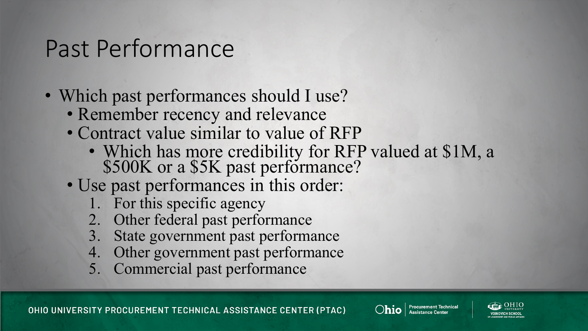- Which past performances should I use?
	- Remember recency and relevance
	- Contract value similar to value of RFP
		- Which has more credibility for RFP valued at \$1M, a \$500K or a \$5K past performance?
	- Use past performances in this order:
		- 1. For this specific agency
		- 2. Other federal past performance
		- 3. State government past performance
		- 4. Other government past performance
		- 5. Commercial past performance



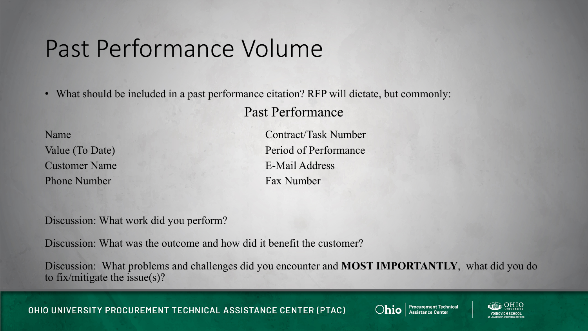#### Past Performance Volume

• What should be included in a past performance citation? RFP will dictate, but commonly:

Past Performance

Customer Name E-Mail Address Phone Number Fax Number

Name Contract/Task Number Value (To Date) Period of Performance

Discussion: What work did you perform?

Discussion: What was the outcome and how did it benefit the customer?

Discussion: What problems and challenges did you encounter and **MOST IMPORTANTLY**, what did you do to fix/mitigate the issue(s)?

OHIO UNIVERSITY PROCUREMENT TECHNICAL ASSISTANCE CENTER (PTAC)



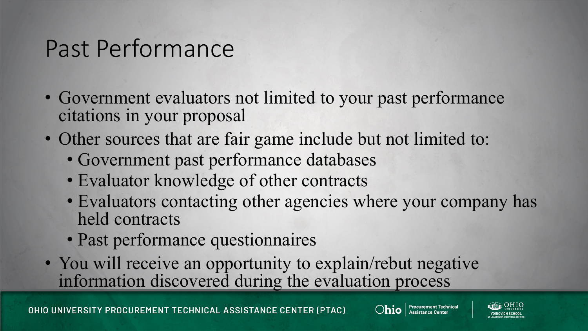- Government evaluators not limited to your past performance citations in your proposal
- Other sources that are fair game include but not limited to:
	- Government past performance databases
	- Evaluator knowledge of other contracts
	- Evaluators contacting other agencies where your company has held contracts
	- Past performance questionnaires
- You will receive an opportunity to explain/rebut negative information discovered during the evaluation process



**Ohio** | Procurement Technical

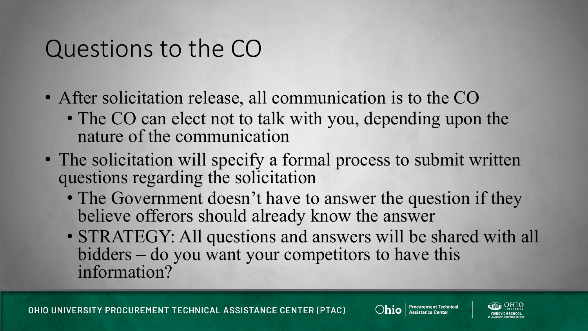#### Questions to the CO

- After solicitation release, all communication is to the CO
	- The CO can elect not to talk with you, depending upon the nature of the communication
- The solicitation will specify a formal process to submit written questions regarding the solicitation
	- The Government doesn't have to answer the question if they believe offerors should already know the answer
	- STRATEGY: All questions and answers will be shared with all bidders – do you want your competitors to have this information?

OHIO UNIVERSITY PROCUREMENT TECHNICAL ASSISTANCE CENTER (PTAC)



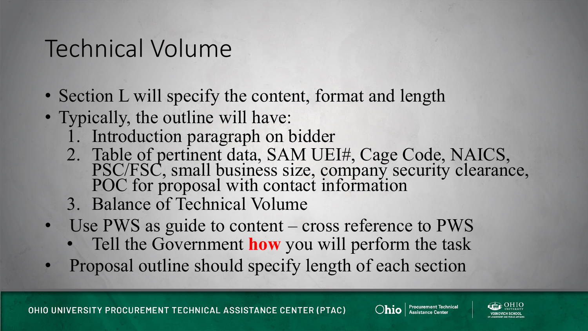- Section L will specify the content, format and length
- Typically, the outline will have:
	- 1. Introduction paragraph on bidder
	- 2. Table of pertinent data, SAM UEI#, Cage Code, NAICS, PSC/FSC, small business size, company security clearance, POC for proposal with contact information
	- 3. Balance of Technical Volume
- Use PWS as guide to content cross reference to PWS
	- Tell the Government **how** you will perform the task
- Proposal outline should specify length of each section



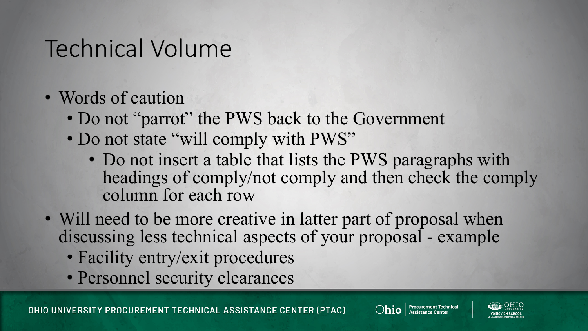- Words of caution
	- Do not "parrot" the PWS back to the Government
	- Do not state "will comply with PWS"
		- Do not insert a table that lists the PWS paragraphs with headings of comply/not comply and then check the comply column for each row
- Will need to be more creative in latter part of proposal when discussing less technical aspects of your proposal - example
	- Facility entry/exit procedures
	- Personnel security clearances

OHIO UNIVERSITY PROCUREMENT TECHNICAL ASSISTANCE CENTER (PTAC)



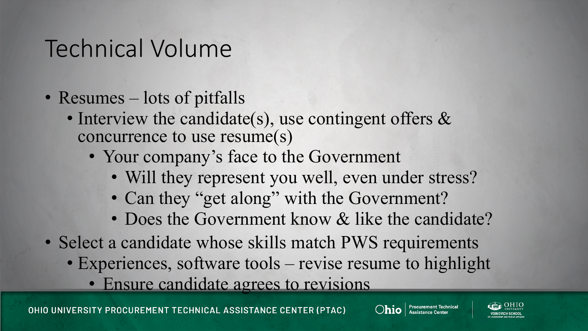- Resumes lots of pitfalls
	- Interview the candidate(s), use contingent offers & concurrence to use resume(s)
		- Your company's face to the Government
			- Will they represent you well, even under stress?
			- Can they "get along" with the Government?
			- Does the Government know & like the candidate?
- Select a candidate whose skills match PWS requirements
	- Experiences, software tools revise resume to highlight
		- Ensure candidate agrees to revisions



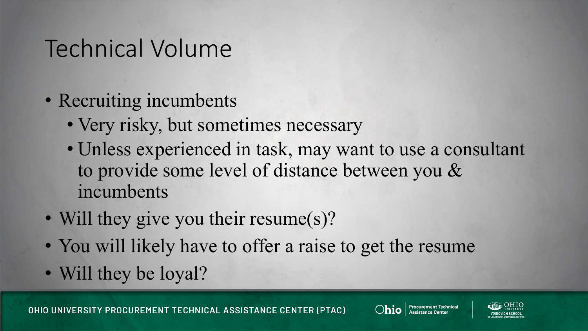- Recruiting incumbents
	- Very risky, but sometimes necessary
	- Unless experienced in task, may want to use a consultant to provide some level of distance between you & incumbents
- Will they give you their resume(s)?
- You will likely have to offer a raise to get the resume
- Will they be loyal?

OHIO UNIVERSITY PROCUREMENT TECHNICAL ASSISTANCE CENTER (PTAC)



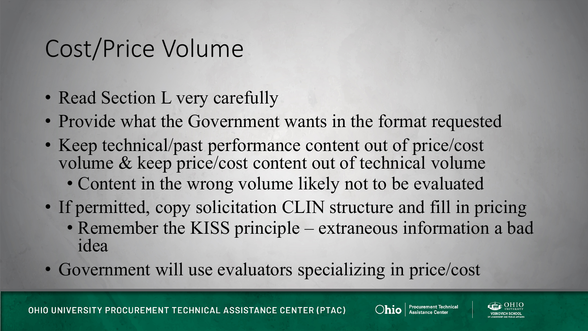### Cost/Price Volume

- Read Section L very carefully
- Provide what the Government wants in the format requested
- Keep technical/past performance content out of price/cost volume & keep price/cost content out of technical volume • Content in the wrong volume likely not to be evaluated
- If permitted, copy solicitation CLIN structure and fill in pricing • Remember the KISS principle – extraneous information a bad idea
- Government will use evaluators specializing in price/cost

OHIO UNIVERSITY PROCUREMENT TECHNICAL ASSISTANCE CENTER (PTAC)



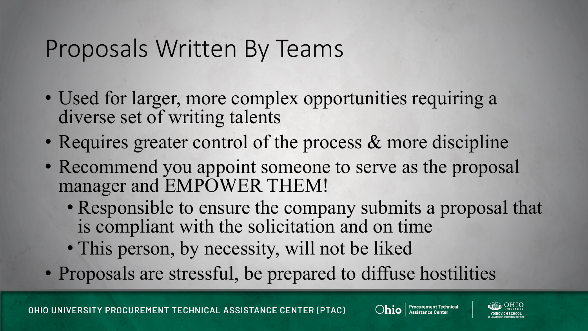#### Proposals Written By Teams

- Used for larger, more complex opportunities requiring a diverse set of writing talents
- Requires greater control of the process & more discipline
- Recommend you appoint someone to serve as the proposal manager and EMPOWER THEM!
	- Responsible to ensure the company submits a proposal that is compliant with the solicitation and on time
	- This person, by necessity, will not be liked
- Proposals are stressful, be prepared to diffuse hostilities





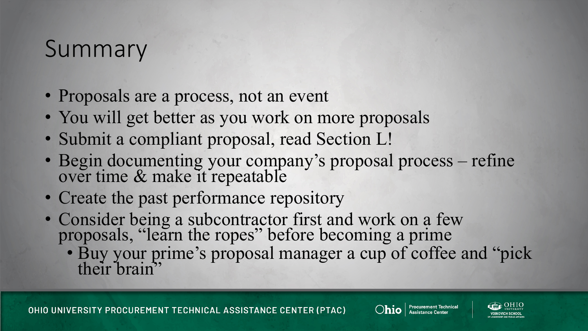#### Summary

- Proposals are a process, not an event
- You will get better as you work on more proposals
- Submit a compliant proposal, read Section L!
- Begin documenting your company's proposal process refine over time & make it repeatable
- Create the past performance repository
- Consider being a subcontractor first and work on a few proposals, "learn the ropes" before becoming a prime
	- Buy your prime's proposal manager a cup of coffee and "pick their brain"

OHIO UNIVERSITY PROCUREMENT TECHNICAL ASSISTANCE CENTER (PTAC)



**Procurement Technical**